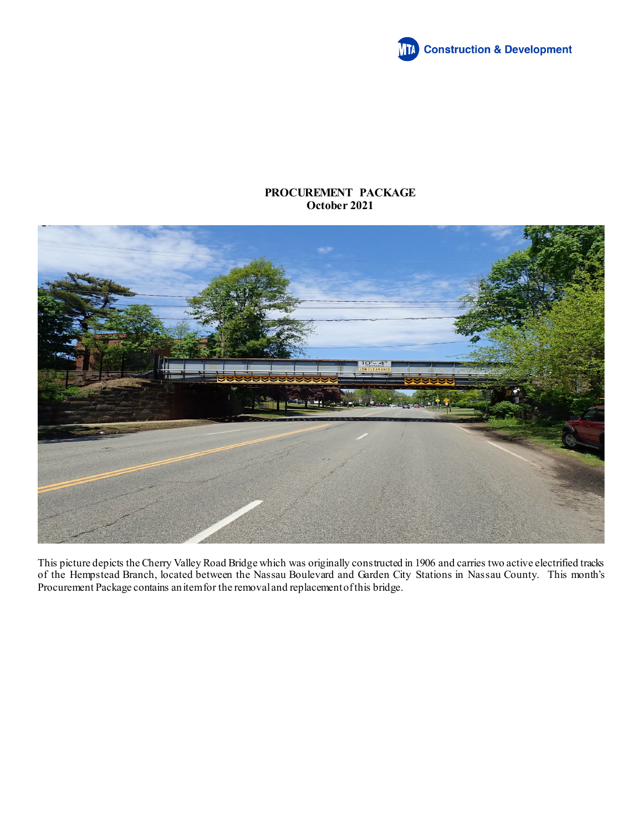

## **PROCUREMENT PACKAGE October 2021**



This picture depicts the Cherry Valley Road Bridge which was originally constructed in 1906 and carries two active electrified tracks of the Hempstead Branch, located between the Nassau Boulevard and Garden City Stations in Nassau County. This month's Procurement Package contains an item for the removal and replacement of this bridge.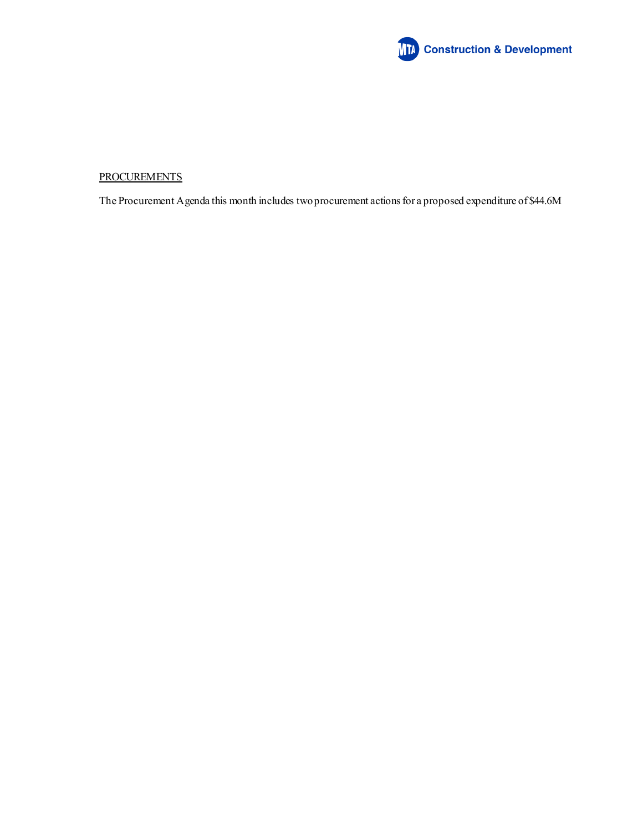

## **PROCUREMENTS**

The Procurement Agenda this month includes two procurement actions for a proposed expenditure of \$44.6M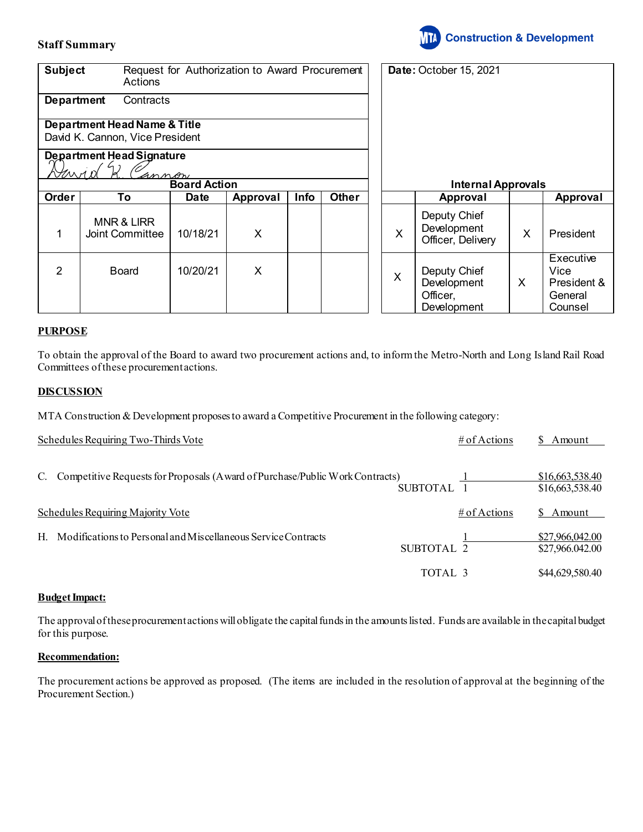## **Staff Summary**



| <b>Subject</b>                                                             | <b>Actions</b>                           | Request for Authorization to Award Procurement |          |      |              |  | <b>Date: October 15, 2021</b> |                                                        |   |                                                        |
|----------------------------------------------------------------------------|------------------------------------------|------------------------------------------------|----------|------|--------------|--|-------------------------------|--------------------------------------------------------|---|--------------------------------------------------------|
| <b>Department</b><br>Contracts                                             |                                          |                                                |          |      |              |  |                               |                                                        |   |                                                        |
| <b>Department Head Name &amp; Title</b><br>David K. Cannon, Vice President |                                          |                                                |          |      |              |  |                               |                                                        |   |                                                        |
| <b>Department Head Signature</b><br>VMMI<br>annon                          |                                          |                                                |          |      |              |  |                               |                                                        |   |                                                        |
|                                                                            |                                          | <b>Board Action</b>                            |          |      |              |  | <b>Internal Approvals</b>     |                                                        |   |                                                        |
| Order                                                                      | To                                       | Date                                           | Approval | Info | <b>Other</b> |  |                               | Approval                                               |   | Approval                                               |
| 1                                                                          | <b>MNR &amp; LIRR</b><br>Joint Committee | 10/18/21                                       | X        |      |              |  | X                             | Deputy Chief<br>Development<br>Officer, Delivery       | X | President                                              |
| 2                                                                          | <b>Board</b>                             | 10/20/21                                       | X        |      |              |  | X                             | Deputy Chief<br>Development<br>Officer,<br>Development | X | Executive<br>Vice<br>President &<br>General<br>Counsel |

## **PURPOSE**

To obtain the approval of the Board to award two procurement actions and, to inform the Metro-North and Long Island Rail Road Committees of these procurement actions.

## **DISCUSSION**

MTA Construction & Development proposes to award a Competitive Procurement in the following category:

|    | Schedules Requiring Two-Thirds Vote                                           |                 | # of Actions | \$ Amount                          |
|----|-------------------------------------------------------------------------------|-----------------|--------------|------------------------------------|
| C. | Competitive Requests for Proposals (A ward of Purchase/Public Work Contracts) | <b>SUBTOTAL</b> |              | \$16,663,538.40<br>\$16,663,538.40 |
|    | Schedules Requiring Majority Vote                                             |                 | # of Actions | \$ Amount                          |
| H. | Modifications to Personal and Miscellaneous Service Contracts                 | SUBTOTAL 2      |              | \$27,966,042.00<br>\$27,966.042.00 |
|    |                                                                               | TOTAL 3         |              | \$44,629,580.40                    |

## **Budget Impact:**

The approval of these procurement actions will obligate the capital funds in the amounts listed. Funds are available in the capital budget for this purpose.

## **Recommendation:**

The procurement actions be approved as proposed. (The items are included in the resolution of approval at the beginning of the Procurement Section.)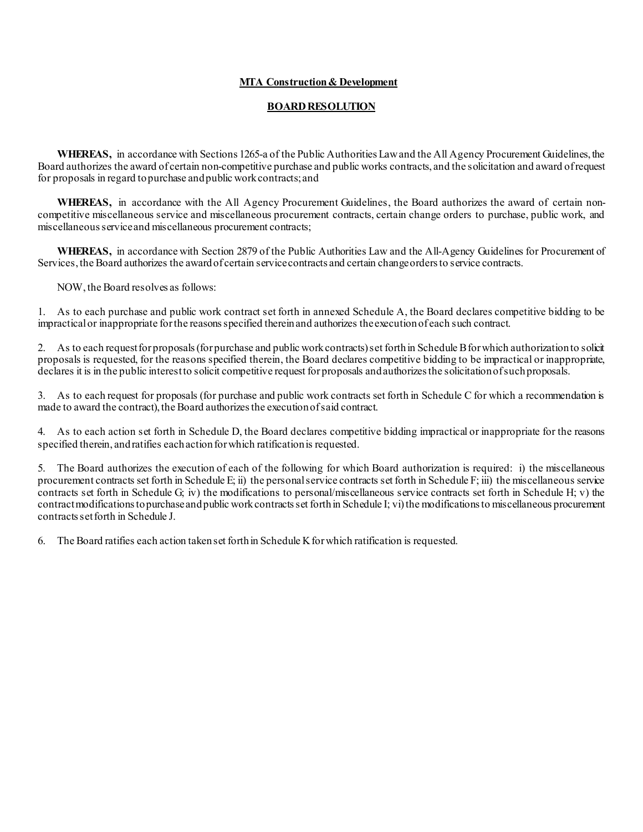## **MTA Construction & Development**

## **BOARD RESOLUTION**

**WHEREAS,** in accordance with Sections 1265-a of the Public Authorities Law and the All Agency Procurement Guidelines, the Board authorizes the award of certain non-competitive purchase and public works contracts, and the solicitation and award of request for proposals in regard to purchase and public work contracts; and

**WHEREAS,** in accordance with the All Agency Procurement Guidelines, the Board authorizes the award of certain noncompetitive miscellaneous service and miscellaneous procurement contracts, certain change orders to purchase, public work, and miscellaneous service and miscellaneous procurement contracts;

**WHEREAS,** in accordance with Section 2879 of the Public Authorities Law and the All-Agency Guidelines for Procurement of Services, the Board authorizes the award of certain service contracts and certain change orders to service contracts.

NOW, the Board resolves as follows:

1. As to each purchase and public work contract set forth in annexed Schedule A, the Board declares competitive bidding to be impractical or inappropriate for the reasons specified therein and authorizes the execution of each such contract.

2. As to each requestfor proposals (for purchase and public work contracts) set forth in Schedule B for which authorization to solicit proposals is requested, for the reasons specified therein, the Board declares competitive bidding to be impractical or inappropriate, declares it is in the public interest to solicit competitive request for proposals and authorizes the solicitation of such proposals.

3. As to each request for proposals (for purchase and public work contracts set forth in Schedule C for which a recommendation is made to award the contract), the Board authorizes the execution of said contract.

4. As to each action set forth in Schedule D, the Board declares competitive bidding impractical or inappropriate for the reasons specified therein, and ratifies each action forwhich ratification is requested.

5. The Board authorizes the execution of each of the following for which Board authorization is required: i) the miscellaneous procurement contracts set forth in Schedule E; ii) the personal service contracts set forth in Schedule F; iii) the miscellaneous service contracts set forth in Schedule G; iv) the modifications to personal/miscellaneous service contracts set forth in Schedule H; v) the contract modifications to purchase and public work contracts set forth in Schedule I; vi) the modifications to miscellaneous procurement contracts set forth in Schedule J.

6. The Board ratifies each action taken set forth in Schedule K for which ratification is requested.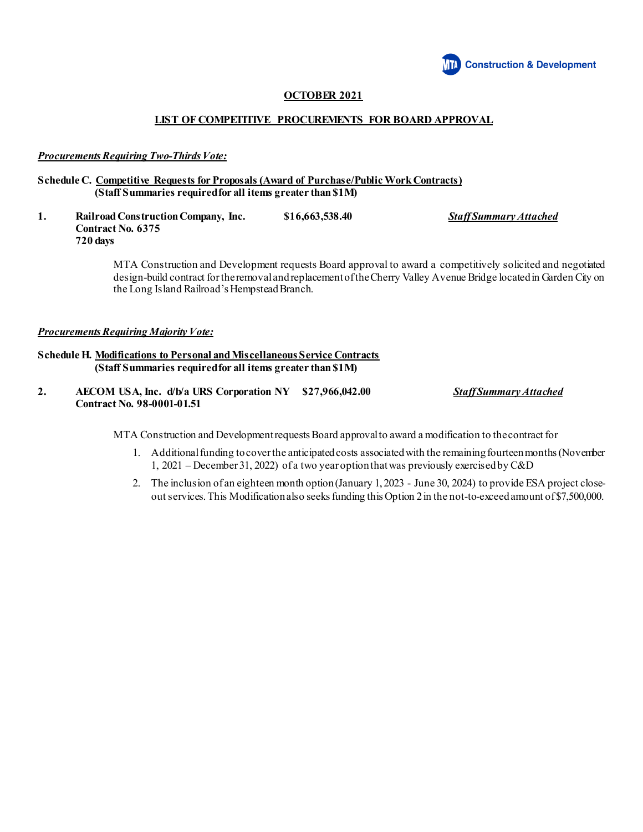

## **OCTOBER 2021**

## **LIST OF COMPETITIVE PROCUREMENTS FOR BOARD APPROVAL**

## *Procurements Requiring Two-Thirds Vote:*

#### **Schedule C. Competitive Requests for Proposals (Award of Purchase/Public Work Contracts) (Staff Summaries required for all items greater than \$1M)**

**1. Railroad Construction Company, Inc. \$16,663,538.40** *Staff Summary Attached* **Contract No. 6375 720 days**

> MTA Construction and Development requests Board approval to award a competitively solicited and negotiated design-build contract for theremoval and replacement of the Cherry Valley Avenue Bridge located in Garden City on the Long Island Railroad's Hempstead Branch.

## *Procurements Requiring Majority Vote:*

## **Schedule H. Modifications to Personal and Miscellaneous Service Contracts (Staff Summaries required for all items greater than \$1M)**

**2. AECOM USA, Inc. d/b/a URS Corporation NY \$27,966,042.00** *Staff Summary Attached* **Contract No. 98-0001-01.51**

MTA Construction and Development requestsBoard approvalto award a modification to the contract for

- 1. Additional funding to cover the anticipated costs associated with the remaining fourteen months (November 1, 2021 – December 31, 2022) of a two year option that was previously exercised by C&D
- 2. The inclusion of an eighteen month option(January 1, 2023 June 30, 2024) to provide ESA project closeout services.This Modification also seeks funding this Option 2 in the not-to-exceed amount of \$7,500,000.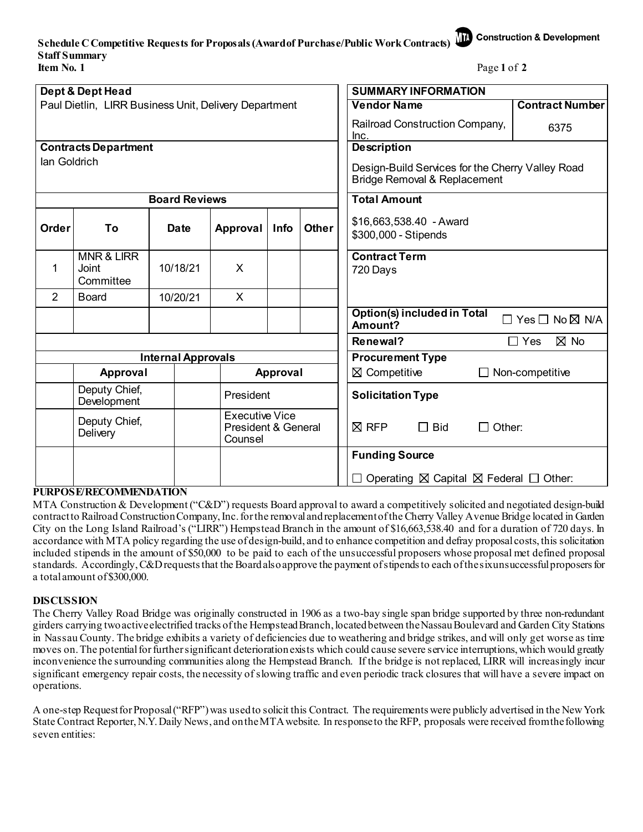# **Schedule C Competitive Requests for Proposals (Award of Purchase/Public Work Contracts) Staff Summary Item No. 1** Page 1 of 2

| Dept & Dept Head                                      |                                             |  |                      |                                                         |      |                         | <b>SUMMARY INFORMATION</b>                                                                  |  |  |  |
|-------------------------------------------------------|---------------------------------------------|--|----------------------|---------------------------------------------------------|------|-------------------------|---------------------------------------------------------------------------------------------|--|--|--|
| Paul Dietlin, LIRR Business Unit, Delivery Department |                                             |  |                      |                                                         |      |                         | <b>Vendor Name</b><br><b>Contract Number</b>                                                |  |  |  |
|                                                       |                                             |  |                      |                                                         |      |                         | Railroad Construction Company,<br>6375<br>Inc.                                              |  |  |  |
| <b>Contracts Department</b>                           |                                             |  |                      |                                                         |      |                         | <b>Description</b>                                                                          |  |  |  |
| lan Goldrich                                          |                                             |  |                      |                                                         |      |                         | Design-Build Services for the Cherry Valley Road<br><b>Bridge Removal &amp; Replacement</b> |  |  |  |
|                                                       |                                             |  | <b>Board Reviews</b> |                                                         |      |                         | <b>Total Amount</b>                                                                         |  |  |  |
| Order                                                 | To                                          |  | Date                 | <b>Approval</b>                                         | Info | <b>Other</b>            | \$16,663,538.40 - Award<br>\$300,000 - Stipends                                             |  |  |  |
| 1                                                     | <b>MNR &amp; LIRR</b><br>Joint<br>Committee |  | 10/18/21             | X                                                       |      |                         | <b>Contract Term</b><br>720 Days                                                            |  |  |  |
| $\overline{2}$                                        | <b>Board</b>                                |  | 10/20/21             | X                                                       |      |                         |                                                                                             |  |  |  |
|                                                       |                                             |  |                      |                                                         |      |                         | <b>Option(s) included in Total</b><br>$\Box$ Yes $\Box$ No $\boxtimes$ N/A<br>Amount?       |  |  |  |
|                                                       |                                             |  |                      |                                                         |      |                         | $\boxtimes$ No<br>Renewal?<br>$\Box$ Yes                                                    |  |  |  |
| <b>Internal Approvals</b>                             |                                             |  |                      |                                                         |      | <b>Procurement Type</b> |                                                                                             |  |  |  |
|                                                       | Approval                                    |  |                      | Approval                                                |      |                         | $\boxtimes$ Competitive<br>$\Box$ Non-competitive                                           |  |  |  |
|                                                       | Deputy Chief,<br>Development                |  |                      | President                                               |      |                         | <b>Solicitation Type</b>                                                                    |  |  |  |
|                                                       | Deputy Chief,<br>Delivery                   |  |                      | <b>Executive Vice</b><br>President & General<br>Counsel |      |                         | $\boxtimes$ RFP<br>$\Box$ Bid<br>$\Box$ Other:                                              |  |  |  |
|                                                       |                                             |  |                      |                                                         |      |                         | <b>Funding Source</b>                                                                       |  |  |  |
|                                                       |                                             |  |                      |                                                         |      |                         | $\Box$ Operating $\boxtimes$ Capital $\boxtimes$ Federal $\Box$ Other:                      |  |  |  |

## **PURPOSE/RECOMMENDATION**

MTA Construction & Development ("C&D") requests Board approval to award a competitively solicited and negotiated design-build contractto Railroad Construction Company, Inc.for the removal and replacement of the Cherry Valley Avenue Bridge located in Garden City on the Long Island Railroad's ("LIRR") Hempstead Branch in the amount of \$16,663,538.40 and for a duration of 720 days. In accordance with MTA policy regarding the use of design-build, and to enhance competition and defray proposal costs, this solicitation included stipends in the amount of \$50,000 to be paid to each of the unsuccessful proposers whose proposal met defined proposal standards. Accordingly, C&D requests that the Board also approve the payment of stipends to each of the six unsuccessful proposers for a total amount of \$300,000.

## **DISCUSSION**

The Cherry Valley Road Bridge was originally constructed in 1906 as a two-bay single span bridge supported by three non-redundant girders carrying two active electrified tracks of the Hempstead Branch, located between the Nassau Boulevard and Garden City Stations in Nassau County. The bridge exhibits a variety of deficiencies due to weathering and bridge strikes, and will only get worse as time moves on. The potential for further significant deterioration exists which could cause severe service interruptions, which would greatly inconvenience the surrounding communities along the Hempstead Branch. If the bridge is not replaced, LIRR will increasingly incur significant emergency repair costs, the necessity of slowing traffic and even periodic track closures that will have a severe impact on operations.

A one-step Request for Proposal ("RFP") was usedto solicit this Contract. The requirements were publicly advertised in the New York State Contract Reporter, N.Y. Daily News, and on the MTA website. In response to the RFP, proposals were received from the following seven entities:

**Construction & Development**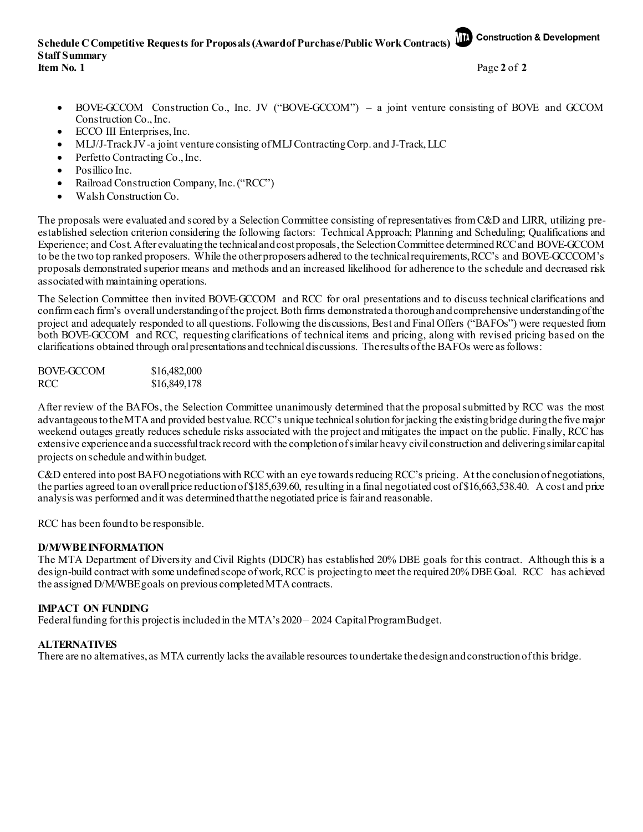**Schedule C Competitive Requests for Proposals (Award of Purchase/Public Work Contracts) Construction & Development Staff Summary**

**Item No. 1** Page **2** of **2**

- BOVE-GCCOM Construction Co., Inc. JV ("BOVE-GCCOM") a joint venture consisting of BOVE and GCCOM Construction Co., Inc.
- ECCO III Enterprises, Inc.
- MLJ/J-Track JV -a joint venture consisting of MLJ Contracting Corp. and J-Track, LLC
- Perfetto Contracting Co., Inc.
- Posillico Inc.
- Railroad Construction Company, Inc. ("RCC")
- Walsh Construction Co.

The proposals were evaluated and scored by a Selection Committee consisting of representatives from C&D and LIRR, utilizing preestablished selection criterion considering the following factors: Technical Approach; Planning and Scheduling; Qualifications and Experience; and Cost. After evaluating the technical and cost proposals, the Selection Committee determined RCC and BOVE-GCCOM to be the two top ranked proposers. While the other proposers adhered to the technical requirements,RCC's and BOVE-GCCCOM's proposals demonstrated superior means and methods and an increased likelihood for adherence to the schedule and decreased risk associated with maintaining operations.

The Selection Committee then invited BOVE-GCCOM and RCC for oral presentations and to discuss technical clarifications and confirm each firm's overall understanding of the project. Both firms demonstrated a thorough and comprehensive understanding of the project and adequately responded to all questions. Following the discussions, Best and Final Offers ("BAFOs") were requested from both BOVE-GCCOM and RCC, requesting clarifications of technical items and pricing, along with revised pricing based on the clarifications obtained through oral presentations and technical discussions. The results of the BAFOs were as follows:

| BOVE-GCCOM | \$16,482,000 |
|------------|--------------|
| <b>RCC</b> | \$16,849,178 |

After review of the BAFOs, the Selection Committee unanimously determined that the proposal submitted by RCC was the most advantageous to the MTA and provided best value. RCC's unique technical solution forjacking the existing bridge during the five major weekend outages greatly reduces schedule risks associated with the project and mitigates the impact on the public. Finally, RCC has extensive experience and a successful track record with the completion of similar heavy civil construction and deliveringsimilar capital projects on schedule and within budget.

C&D entered into post BAFO negotiations with RCC with an eye towards reducing RCC's pricing. At the conclusion of negotiations, the parties agreed to an overall price reduction of \$185,639.60, resulting in a final negotiated cost of \$16,663,538.40. A cost and price analysis was performed and it was determined that the negotiated price is fair and reasonable.

RCC has been found to be responsible.

## **D/M/WBE INFORMATION**

The MTA Department of Diversity and Civil Rights (DDCR) has established 20% DBE goals for this contract. Although this is a design-build contract with some undefined scope of work, RCC is projecting to meet the required 20% DBE Goal. RCC has achieved the assigned D/M/WBE goals on previous completed MTA contracts.

## **IMPACT ON FUNDING**

Federal funding for this project is included in the MTA's 2020 – 2024 Capital Program Budget.

## **ALTERNATIVES**

There are no alternatives, as MTA currently lacks the available resources to undertake the design and construction of this bridge.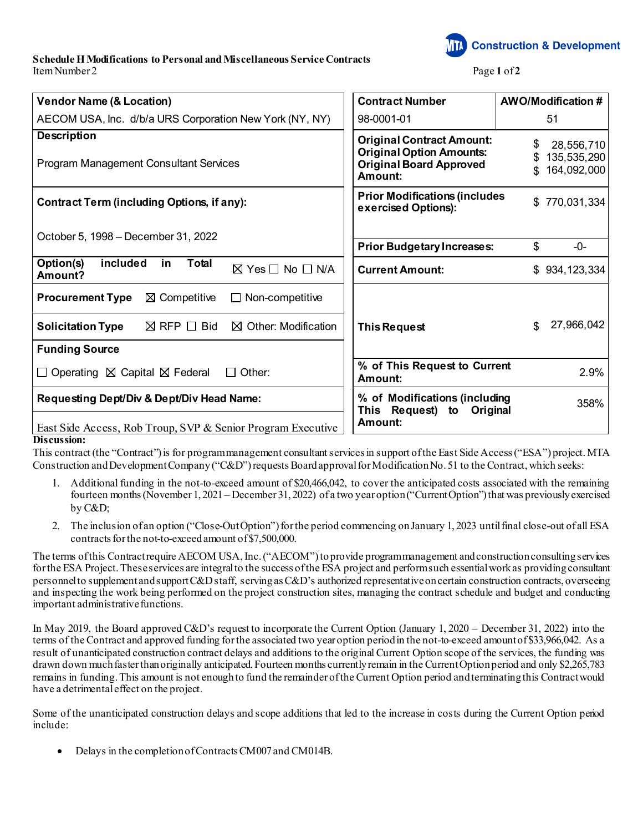**Schedule H Modifications to Personal and Miscellaneous Service Contracts** Item Number 2 **Page 1** of **2** 

**Construction & Development** 

| <b>Vendor Name (&amp; Location)</b>                                                                                                                                                                | <b>Contract Number</b><br><b>AWO/Modification #</b>                                                                                                                       |
|----------------------------------------------------------------------------------------------------------------------------------------------------------------------------------------------------|---------------------------------------------------------------------------------------------------------------------------------------------------------------------------|
| AECOM USA, Inc. d/b/a URS Corporation New York (NY, NY)                                                                                                                                            | 51<br>98-0001-01                                                                                                                                                          |
| <b>Description</b><br><b>Program Management Consultant Services</b>                                                                                                                                | <b>Original Contract Amount:</b><br>\$<br>28,556,710<br><b>Original Option Amounts:</b><br>135,535,290<br><b>Original Board Approved</b><br>164,092,000<br>\$.<br>Amount: |
| <b>Contract Term (including Options, if any):</b>                                                                                                                                                  | <b>Prior Modifications (includes</b><br>770,031,334<br>\$<br>exercised Options):                                                                                          |
| October 5, 1998 - December 31, 2022                                                                                                                                                                | \$<br><b>Prior Budgetary Increases:</b><br>$-0-$                                                                                                                          |
| included<br><b>Total</b><br>Option(s)<br>in<br>$\boxtimes$ Yes $\Box$ No $\Box$ N/A<br>Amount?                                                                                                     | <b>Current Amount:</b><br>934, 123, 334<br>\$                                                                                                                             |
| $\boxtimes$ Competitive<br><b>Procurement Type</b><br>$\Box$ Non-competitive<br>$\boxtimes$ RFP $\Box$ Bid<br>$\boxtimes$ Other: Modification<br><b>Solicitation Type</b><br><b>Funding Source</b> | 27,966,042<br>\$.<br><b>This Request</b>                                                                                                                                  |
| $\Box$ Operating $\boxtimes$ Capital $\boxtimes$ Federal<br>Other:<br>$\Box$                                                                                                                       | % of This Request to Current<br>2.9%<br>Amount:                                                                                                                           |
| Requesting Dept/Div & Dept/Div Head Name:<br>East Side Access, Rob Troup, SVP & Senior Program Executive                                                                                           | % of Modifications (including<br>358%<br>This Request) to Original<br>Amount:                                                                                             |
| Discussion:                                                                                                                                                                                        |                                                                                                                                                                           |

This contract (the "Contract") is for program management consultant services in support of the East Side Access ("ESA") project. MTA Construction and Development Company ("C&D") requests Board approval for Modification No. 51 to the Contract, which seeks:

- 1. Additional funding in the not-to-exceed amount of \$20,466,042, to cover the anticipated costs associated with the remaining fourteen months (November 1, 2021 – December 31, 2022) of a two year option ("Current Option") that was previously exercised by C&D;
- 2. The inclusion of an option ("Close-Out Option") for the period commencing on January 1, 2023 until final close-out of all ESA contracts for the not-to-exceed amount of \$7,500,000.

The terms of this Contract require AECOM USA, Inc. ("AECOM")to provide program management and construction consulting services for the ESA Project. These services are integral to the success of the ESA project and perform such essential workas providing consultant personnel to supplement and support C&D staff, serving as C&D's authorized representative on certain construction contracts, overseeing and inspecting the work being performed on the project construction sites, managing the contract schedule and budget and conducting important administrative functions.

In May 2019, the Board approved C&D's request to incorporate the Current Option (January 1, 2020 – December 31, 2022) into the terms of the Contract and approved funding for the associated two year option period in the not-to-exceed amount of \$33,966,042. As a result of unanticipated construction contract delays and additions to the original Current Option scope of the services, the funding was drawn down much faster than originally anticipated. Fourteen months currently remain in the Current Option period and only \$2,265,783 remains in funding. This amount is not enough to fund the remainder of the Current Option period and terminating this Contract would have a detrimental effect on the project.

Some of the unanticipated construction delays and scope additions that led to the increase in costs during the Current Option period include:

• Delays in the completion of Contracts CM007 and CM014B.